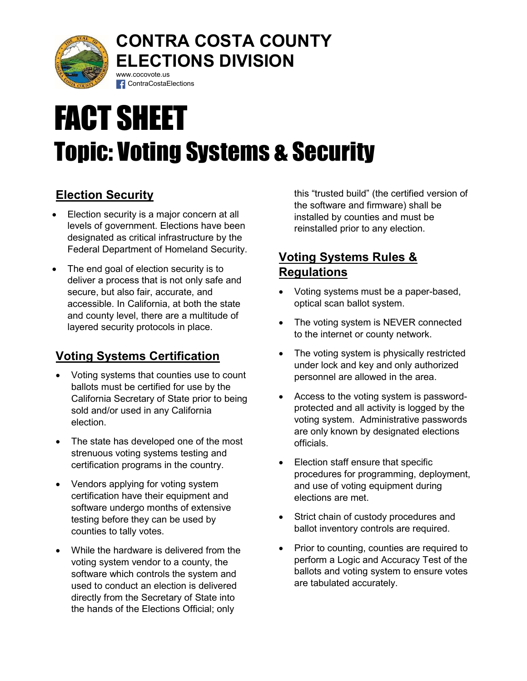

## CONTRA COSTA COUNTY ELECTIONS DIVISION www.cocovote.us

# FACT SHEET Topic: Voting Systems & Security

# Election Security

**Election security is a major concern at all** levels of government. Elections have been designated as critical infrastructure by the Federal Department of Homeland Security.

**f** ContraCostaElections

• The end goal of election security is to deliver a process that is not only safe and secure, but also fair, accurate, and accessible. In California, at both the state and county level, there are a multitude of layered security protocols in place.

# Voting Systems Certification

- Voting systems that counties use to count ballots must be certified for use by the California Secretary of State prior to being sold and/or used in any California election.
- The state has developed one of the most strenuous voting systems testing and certification programs in the country.
- Vendors applying for voting system certification have their equipment and software undergo months of extensive testing before they can be used by counties to tally votes.
- While the hardware is delivered from the voting system vendor to a county, the software which controls the system and used to conduct an election is delivered directly from the Secretary of State into the hands of the Elections Official; only

this "trusted build" (the certified version of the software and firmware) shall be installed by counties and must be reinstalled prior to any election.

# Voting Systems Rules & **Regulations**

- Voting systems must be a paper-based, optical scan ballot system.
- The voting system is NEVER connected to the internet or county network.
- The voting system is physically restricted under lock and key and only authorized personnel are allowed in the area.
- Access to the voting system is passwordprotected and all activity is logged by the voting system. Administrative passwords are only known by designated elections officials.
- Election staff ensure that specific procedures for programming, deployment, and use of voting equipment during elections are met.
- Strict chain of custody procedures and ballot inventory controls are required.
- Prior to counting, counties are required to perform a Logic and Accuracy Test of the ballots and voting system to ensure votes are tabulated accurately.